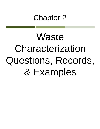# Chapter 2

# **Waste** Characterization Questions, Records, & Examples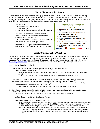# **Waste Characterization Record**

To meet the waste characterization recordkeeping requirements of Rule 307 (MAC R 299.9307), consider creating a record that details your answers to the waste characterization questions provided below. This detail would ensure thorough documentation of your determination and would be in addition to the following records that should already be assembled and available at the site of generation for each waste stream requiring review:

- the waste type
- a narrative description of the waste
- the source of waste
- any test results obtained from sampling and analyzing the waste
- a description of the sampling procedure used
- details on how the sample was determined to be representative of the waste stream
- a copy of Safety Data Sheets (SDS) or other reference materials relied upon for making the waste determination, including calculations used to evaluate subpart BB and CC applicability (to determine the ppmv volatile organic compound content of the waste)

**Waste Characterization Basic Steps** 

- 1. Is waste listed? Review lists of waste types & codes in rules.
- 2. Is waste characteristic? Analytic test or by knowledge (MSDS, knowledge of process, etc.).
- 3. Does an exclusion or exemption apply?
- 4. Do other regulations apply? (liquid industrial or solid waste, etc.).
- 5. Create & maintain records of characterization for at least 3 years from the date waste was last shipped offsite.

**DENSO** 

DEQ

6. Re-characterize if there is a change in process or materials.  $=$  DLD $=$ 

# **Waste Characterization Questions**

The questions below do not address radioactive waste, infectious or pathogenic medical waste, or Toxic Substance Control Act applicability. Consult with a specialist on these topics if you have a waste that may be subject to these regulations. To locate assistance on these topics, contact the Environmental Assistance Center at 1-800-662-9278 or [deq-assist@michigan.gov.](mailto:deq-assist@michigan.gov) When reviewing each question, advance to the next question if you answer NO.

# **Listed Hazardous Waste Review**

- 1. Is this an unused raw material chemical product containing a sole active ingredient?
	- If Yes: Is there a SDS available?

If Yes: Is material a commercial chemical product listed in Part 111 Table 205a, 205b, or 205c **(P or U Listed)**?

If Yes = Waste is a listed hazardous waste, advance to listed waste exclusion review.

2. Does the waste contain spent solvents or is it a wastewater treatment waste not discharged directly to the wastewater treatment plant pursuant to a permit issued by the treatment authority **(F Listed)**?

If Yes: Does the spent solvent or process generating the waste make the waste a hazardous waste, by definition because it is listed in Part 111, Table 203a?

If Yes = Waste is a listed hazardous waste, advance to listed waste exclusion review.

3. Does the process generating the waste make the waste a hazardous waste, by definition because the process waste is listed in Part 111 Table 204a **(K Listed)**?

If Yes = Waste is a listed hazardous waste, advance to listed waste exclusion review.

# **Listed Hazardous Waste Exclusion Review**

Do any Part 111 exclusions or exemptions apply?

apply.

If Yes: Specify the exclusion found in Rule 202 (waste), Rule 203 (hazardous waste) 204 (exclusion), Rule 205 (CESQG), Rule 206 (recyclable material), Rule 228 (universal waste), etc. and include any relevant documentation substantiating the exclusion applicability in your waste characterization record, then advance to question 4 to determine if waste exhibits any characteristics that make it a hazardous waste. If No – Waste remains a listed hazardous waste that must be managed using the listed hazardous waste code(s). Continue to step 4 if desiring to identify the hazardous waste characteristics that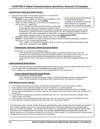# **Characteristic Hazardous Waste Review**

- 4. Does the waste exhibit a characteristic that makes it a characteristic hazardous waste? Review each characteristic:
	- **Ignitable** Review whether the waste exhibits a flashpoint < 140 F using the Penske Martin closed cup test **(D001)**.
	- **Toxic** Are there constituents on the SDS for the materials used found in Part 111, Table 201a?

If Yes: Presume the waste exceeds the limit(s) in table 201a and manage the waste as a characteristic hazardous waste

constituents on the SDS and not just those relevant to occupational exposure when characterizing waste.

has listed all the hazardous

Ensure that the product manufacturer

for the relevant constituent(s) and waste code(s) or sample and analyze the waste using the Toxicity Characteristic Leaching Procedure or totals test using the 20X rule to determine whether it meets or exceeds the TCLP extract concentration in Table 201a. If it meets or exceeds the limit, the waste is a characteristic hazardous waste for the relevant waste codes **(D004 through D043)**.

- **Corrosive** Review whether the waste exhibits a pH < 2 or > 12.5 **(D002)**.
- **Reactive** Review whether the waste is reactive and reacts violently at standard atmospheric conditions or meets any U.S. DOT reactive class standards.

If Yes: Waste is a characteristic hazardous waste, be sure to use all the applicable hazardous waste codes when managing the waste **(D003)**.

# **Characteristic Hazardous Waste Exclusion Review**

Do any Part 111 exclusions or exemptions apply?

If Yes: Specify the exclusion found in Rule 202 (waste), Rule 203 (hazardous waste), Rule 204 (exclusion), Rule 205 (CESQG), Rule 206 (recyclable material), Rule 228 (universal waste), etc. and include any relevant documentation substantiating the exclusion applicability in your waste characterization record, then advance to question 5 to determine what waste regulations apply to the waste.

# **Liquid Industrial Waste Review**

5. Does the waste pass through the paint filter (liquids break through the filter) using Test Method 9095 under SW-846 (e.g. the waste "fails" the paint filter test and liquids break through the filter)?

If Yes: Manage as a liquid industrial waste to meet the applicable Part 121 requirements.

# **Liquid Industrial Waste Exclusion Review**

Do any exclusions or exemptions apply?

If yes: Specify the exclusion found in the Section 12101(n) (the definition of liquid industrial waste) or Section 12102a (materials not specified as liquid industrial waste), then advance to question 6.

# **Solid Waste Exclusion Review**

- 6. Is the material specifically excluded from the definition of solid waste? See Part 115, Section 11506(1).
- 7. Is the material an inert material as defined in Part 115? See Part 115, Section 11504(2).
- 8. Is the material a recyclable material under Part 115? See Part 115, Section 11505(1) and (9), and 11506(6).
- 9. Has the material been granted an exclusion from Part 115? See Part 115, Rule 118a or former Part 115 Rules 113 through 118.
- 10. Is the material a beneficial use by-product as defined under Part 115? See Part 115, Sections 11502(8), 11551, 11551a, 11552, and 11553?
- 11. Is the material a source separated diverted waste under Part 115? See Part 115, Section 11503(6) and 11521b.
- 12. Is the material a low-hazard industrial waste under Part 115? See Section 11553(7).

If analytical data exists, consider whether the process generating the waste changed since the analysis was conducted. Also consider instituting measures to ensure environmental staff is informed by operations and purchasing staff in advance of making any changes. This will allow for the waste to be evaluated prior to waste origination and the waste implications to be considered before the change. Also consider supplementing the characterization records with periodic analysis, even if process and materials are not known to have changed. This will help confirm continued proper management of the waste and that a change was not overlooked.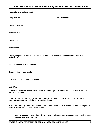# **Waste Characterization Record**

**Completed by: Completion date:**

**Waste description:**

**Waste source:**

**Waste type:**

**Waste codes:**

**Waste sample details including date sampled, location(s) sampled, collection procedure, analysis method, etc.):**

**Product name for SDS considered:**

**Subpart BB or CC applicability:**

**LDR underlying hazardous constituents:**

#### **Listed Review**

1. Is this an unused raw material that is commercial chemical product listed in Part 111 Table 205a, 205b, or 205c (P or U listed)?

2. Does the waste contain spent solvents that meets the listing in Table 203a or is the waste a wastewater treatment sludge meeting the listing in Table 203a (F listed)?

3. Does the process generating the waste make the waste a hazardous waste, by definition because the process waste is listed in Part 111 Table 204a (K listed)?

**Listed Waste Exclusion Review -** List any exclusion relied upon to exclude waste from hazardous waste regulation (e.g. continued use).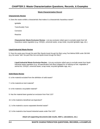# **Waste Characterization Record**

# **Characteristic Review**

4. Does the waste exhibit a characteristic that makes it a characteristic hazardous waste?

Ignitable

Toxic/Acutely Toxic

Corrosive

**Reactive** 

**Characteristic Waste Exclusion Review -** List any exclusion relied upon to exclude waste from full hazardous waste regulation (e.g. CESQG, universal waste, scrap metal, recycled ignitable rags, etc.)

# **Liquid Industrial Waste Review**

5. Does the waste pass through the paint filter (liquids break through the filter) using Test Method 9095 under SW-846 (e.g. the waste "fails" the paint filter test and liquids break through the filter)?

**Liquid Industrial Waste Exclusion Review -** List any exclusion relied upon to exclude waste from liquid industrial waste regulation (e.g. off-specification fuel direct shipped for re-refining as fuel, vegetable or animal fat, CESQG, universal waste, scrap metal, recycled ignitable rags, etc.)

# **Solid Waste Review**

- 6. Is the material excluded from the definition of solid waste?
- 7. Is the material an inert material?
- 8. Is the material a recyclable material?
- 9. Has the material been granted an exclusion from Part 115?
- 10. Is the material a beneficial use byproduct?
- 11. Is the material a source separated diverted waste?
- 12. Is the material a low-hazard industrial waste under Part 115?

#### **Attach all supporting documents (lab results, SDS's, calculations, etc.)**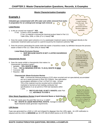# **Waste Characterization Examples**

# **Example 1**

**Unleaded gas contaminated with 10% water and solids removed from tanks in preparation for an underground storage tank removal**

# **Listed Review**

- 1. Is this an unused raw material? **YES**
	- If Yes: Is there a SDS available? **YES**

If Yes: Is material a commercial chemical product listed in Part 111 Table 205a, 205b, or 205c (P or U listed)? **NO**

- 2. Does the waste contain spent solvents or is it a wastewater treatment waste not discharged directly to the wastewater treatment plant pursuant to a permit issued by the treatment authority? **NO**
- 3. Does the process generating the waste make the waste a hazardous waste, by definition because the process waste is listed in Part 111 Table 204a (K listed)? **NO**

#### **Listed Waste Exclusion Review SKIP BECAUSE WASTE IS NOT A LISTED HAZARDOUS WASTE**

# **Characteristic Review**

- 4. Does the waste exhibit a characteristic that makes it a characteristic hazardous waste?
	- Ignitable **YES, WASTE IS D001**
	- Toxic **YES for BENZENE (CAS NO. 71-43-2), WASTE IS D018**
	- Corrosive –**NO**
	- Reactive **NO**

# **Characteristic Waste Exclusion Review**

**YES** – Commercial chemical products (CCP) when recycled and not speculatively accumulated are not a waste pursuant to Rule 202 (1)(b)(iv). See speculative accumulation definition in Part 1 of Part 111 rules. At least

75% of the material must be recycled and re-refined then marketed or burned as fuel meeting combustor fuel specifications in an air permit or FDA fuel standards within 1 year.

 **RECYCLED FUEL IS NOT A WASTE** under Part 111, **ADVANCE TO STEP 5**

# **Other Waste Regulations Review (Liquid Industrial Waste or Solid Waste)**

5. Does the waste pass the paint filter test (e.g. is solid)? **NO**: **WASTE IS LIQUID INDUSTRIAL WASTE**, manage to meet the liquid industrial waste generator requirements.

#### **LDR Review**

If gas was generated by a SQG or LQG and shipped for disposal, then the LDRs apply. An LDR notification is required and the UHCs is **BENZENE** per 40 CFR 268.40 which points to 40 CFR 268.48.

**Point of generation is upon removal from the tank. This is when it is generated and first becomes subject to regulation.**

**Prove via testing or knowledge that gas destined for disposal is not ignitable or toxic; otherwise manage it as a D001 and D018 hazardous waste.**

**See Part 121, Section 12102a for exclusions from being a liquid industrial waste when transmix or contaminated fuel is direct shipped for re-refining and use as a fuel.**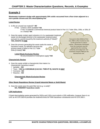# **Example 2**

**Wastewater treatment sludge with approximately 30% solids vacuumed from a floor drain adjacent to a non-cyanide chrome and zinc electroplating line** 

# **Listed Review**

- 1. Is this an unused raw material? **NO**
	- If Yes: Is there a SDS available? **NA**

If Yes: Is material a commercial chemical product listed in Part 111 Table 205a, 205b, or 205c (P or U listed)? **NA**

- 2. Does the waste contain spent solvents or is it a wastewater treatment waste not discharged directly to the wastewater treatment plant pursuant to a permit issued by the treatment authority (F listed)? **YES, WASTE IS F006**
- 3. Does the process generating the waste make the waste a hazardous waste, by definition because the process waste is listed in Part 111 Table 204a (K listed)? **NO**

# **Listed Waste Exclusion Review**

Do any exclusions or exemptions apply? **NO**

# **Characteristic Review**

- 4. Does the waste exhibit a characteristic that makes it a characteristic hazardous waste?
	- $\checkmark$  Ignitable **NO**
	- Toxic **YES for CHROMIUM (CAS NO. 7440-47-3), WASTE IS D007**
	- Corrosive –**NO**
	- $\checkmark$  Reactive **NO**

#### **Characteristic Waste Exclusion Review NO**

# **Other Waste Regulations Review (Liquid Industrial Waste or Solid Waste)**

5. Does the waste pass the paint filter test (e.g. is solid)? **NA, F006/D007 hazardous waste**

# **LDR Implications**

F-listed electroplating waste generated by SQGs and LQGs must submit a LDR notification, however there is no UHC as 40 CFR 268.40 provides the treatment limits for F006 hazardous constituents and 40 CFR 268.9 .

**Pursuant to Rule 503(1) of Part 111, F006 is often treated on-site by the generator to reduce volume. Wastewater discharged from the treatment must be approved by the receiving authority and sludge from the treatment remains F006 per the derived from rule.**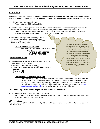# **Example 3**

**Waste rags from a process using a solvent comprised of 7% acetone, 8% MEK, and 85% mineral spirits where the solvent is placed on the rag and used to wipe the manufactured items to remove lint and debris**

- 1. Is this an unused raw material? **NO** If Yes: Is there a SDS available? **NA**
- 2. Does the waste contain spent solvents or is it a wastewater treatment waste not discharged directly to the wastewater treatment plant pursuant to a permit issued by the treatment authority (F listed)? **NO** If YES: Does the solvent or process generating the waste make the waste a hazardous waste, by definition because it is listed in Part 111, Table 203a (F listed)? **NA**
- 3. Does the process generating the waste make the waste a hazardous waste, by definition because the process waste is listed in Part 111 Table 204a (K listed)? **NO**

# **Listed Waste Exclusion Review**

Do any exclusions or exemptions apply? SKIP because

> **WASTE IS NOT A LISTED HAZARDOUS WASTE**

# **Characteristic Review**

- 4. Does the waste exhibit a characteristic that makes it a characteristic hazardous waste?
	- Ignitable **YES, WASTE IS D001**
	- Toxic **YES for MEK (CAS NO. 78-93-3), WASTE IS D035**
	- Corrosive –**NO**
	- $\checkmark$  Reactive **NO**

# **Characteristic Waste Exclusion Review**

**YES** – Solvent rags when recycled and reused are excluded from hazardous waste regulation and don't have to be counted when determining generator status pursuant to Rule 206(3)(g); however they cannot contain free liquids and must be managed to meet the on-site satellite accumulation requirements until shipped for laundering. Michigan has not adopted [the new](http://www.epa.gov/osw/hazard/wastetypes/wasteid/solvents/sumry_chrt_wipes_fnl_rul_070913.pdf)  [federal disposable wipes rule,](http://www.epa.gov/osw/hazard/wastetypes/wasteid/solvents/sumry_chrt_wipes_fnl_rul_070913.pdf) so that exclusion is not an option in Michigan.

#### **Other Waste Regulations Review (Liquid Industrial Waste or Solid Waste)**

5. Does the waste pass the paint filter test (e.g. is solid)?

**NA, D001/D035** hazardous waste if disposed (including burned for fuel) and may not have free liquids if recycled pursuant to Part 111 exclusion.

#### **LDR Implications**

Rags generated by SQGs and LQGs are subject to the LDR requirements and an LDR notification is required. The UHC is **MEK**.

**The waste at the point of origination is the solvent and the rag. Therefore the waste is not a spent solvent alone. If the solvent were poured over the part and the rag was used to absorb the spent solvent, the rag would be soaking up a spent solvent and the spent solvent would need to be reviewed to see if it met the listing. In this example it doesn't meet the listing because acetone alone is not > 10%, nor is MEK. Mineral spirits are not included in the F list.**